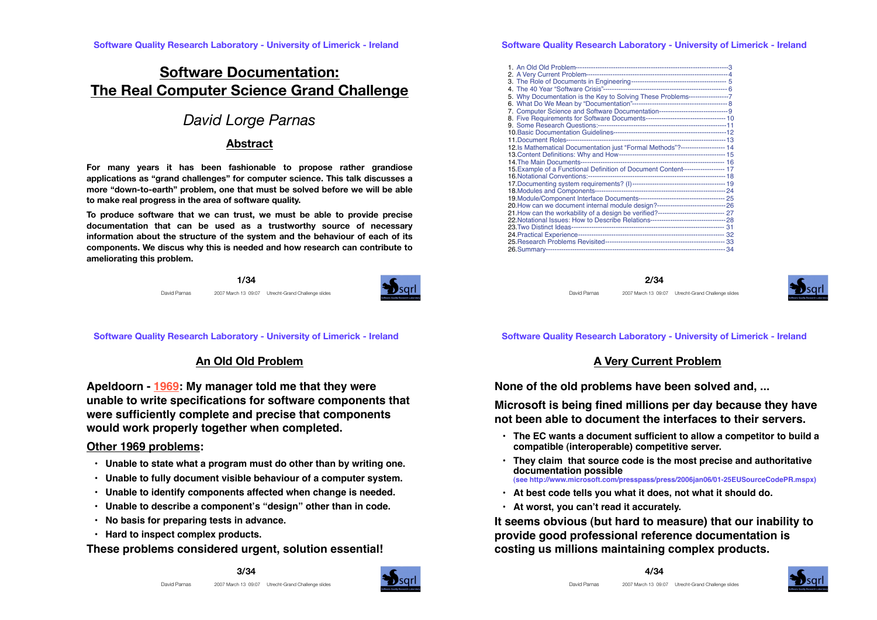# **Software Documentation: The Real Computer Science Grand Challenge**

# *David Lorge Parnas*

### **Abstract**

**For many years it has been fashionable to propose rather grandiose applications as "grand challenges" for computer science. This talk discusses a more "down-to-earth" problem, one that must be solved before we will be able to make real progress in the area of software quality.**

**To produce software that we can trust, we must be able to provide precise documentation that can be used as a trustworthy source of necessary information about the structure of the system and the behaviour of each of its components. We discus why this is needed and how research can contribute to ameliorating this problem.**

> **1/34** David Parnas 2007 March 13 09:07 Utrecht-Grand Challenge slides

**Software Quality Research Laboratory - University of Limerick - Ireland**

## **An Old Old Problem**

**Apeldoorn - 1969: My manager told me that they were unable to write specifications for software components that were sufficiently complete and precise that components would work properly together when completed.**

#### **Other 1969 problems:**

- **Unable to state what a program must do other than by writing one.**
- **Unable to fully document visible behaviour of a computer system.**
- **Unable to identify components affected when change is needed.**
- **Unable to describe a component!s "design" other than in code.**
- **No basis for preparing tests in advance.**
- **Hard to inspect complex products.**

**These problems considered urgent, solution essential!**



#### **Software Quality Research Laboratory - University of Limerick - Ireland**

| 5. Why Documentation is the Key to Solving These Problems-------------------7        |  |
|--------------------------------------------------------------------------------------|--|
|                                                                                      |  |
|                                                                                      |  |
|                                                                                      |  |
|                                                                                      |  |
|                                                                                      |  |
|                                                                                      |  |
| 12.Is Mathematical Documentation just "Formal Methods"?-------------------- 14       |  |
|                                                                                      |  |
|                                                                                      |  |
|                                                                                      |  |
| 15. Example of a Functional Definition of Document Content------------------ 17      |  |
|                                                                                      |  |
|                                                                                      |  |
|                                                                                      |  |
|                                                                                      |  |
|                                                                                      |  |
| 21. How can the workability of a design be verified?----------------------------- 27 |  |
|                                                                                      |  |
|                                                                                      |  |
|                                                                                      |  |
|                                                                                      |  |
|                                                                                      |  |
|                                                                                      |  |

**2/34** David Parnas 2007 March 13 09:07 Utrecht-Grand Challenge slides



**Software Quality Research Laboratory - University of Limerick - Ireland**

### **A Very Current Problem**

**None of the old problems have been solved and, ...**

**Microsoft is being fined millions per day because they have not been able to document the interfaces to their servers.**

- **The EC wants a document sufficient to allow a competitor to build a compatible (interoperable) competitive server.**
- **They claim that source code is the most precise and authoritative documentation possible (see http://www.microsoft.com/presspass/press/2006jan06/01-25EUSourceCodePR.mspx)**
- **At best code tells you what it does, not what it should do.**
- **At worst, you can!t read it accurately.**

**It seems obvious (but hard to measure) that our inability to provide good professional reference documentation is costing us millions maintaining complex products.** 

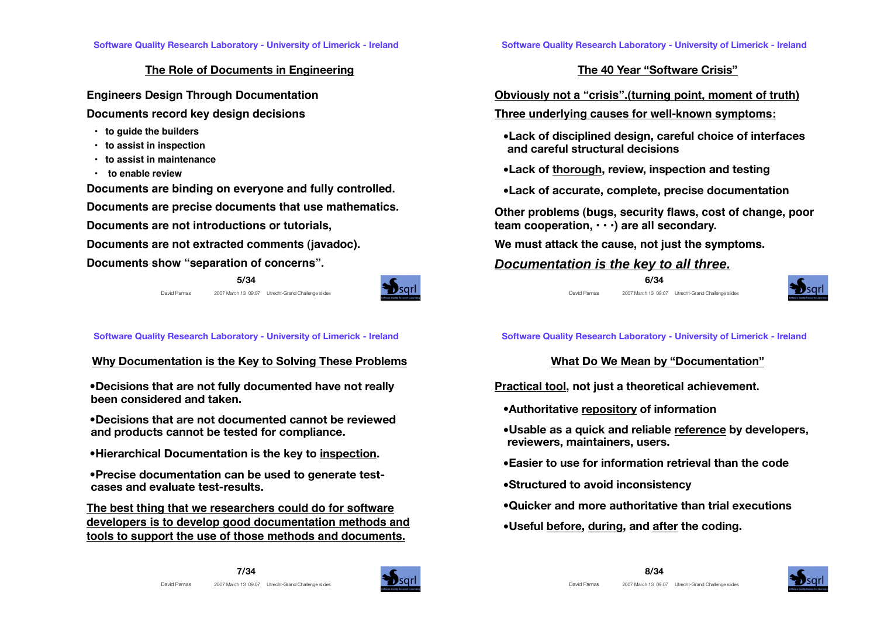### **The Role of Documents in Engineering**

**Engineers Design Through Documentation**

**Documents record key design decisions**

- **to guide the builders**
- **to assist in inspection**
- **to assist in maintenance**
- **to enable review**

**Documents are binding on everyone and fully controlled.**

**Documents are precise documents that use mathematics.**

**Documents are not introductions or tutorials,**

**Documents are not extracted comments (javadoc).**

**Documents show "separation of concerns".**

**5/34** David Parnas 2007 March 13 09:07 Utrecht-Grand Challenge slides



**Software Quality Research Laboratory - University of Limerick - Ireland**

## **Why Documentation is the Key to Solving These Problems**

 **•Decisions that are not fully documented have not really been considered and taken.** 

 **•Decisions that are not documented cannot be reviewed and products cannot be tested for compliance.** 

 **•Hierarchical Documentation is the key to inspection.**

 **•Precise documentation can be used to generate testcases and evaluate test-results.**

**The best thing that we researchers could do for software developers is to develop good documentation methods and tools to support the use of those methods and documents.**

**The 40 Year "Software Crisis"**

**Obviously not a "crisis".(turning point, moment of truth)**

**Three underlying causes for well-known symptoms:**

- **•Lack of disciplined design, careful choice of interfaces and careful structural decisions**
- **•Lack of thorough, review, inspection and testing**
- **•Lack of accurate, complete, precise documentation**

**Other problems (bugs, security flaws, cost of change, poor team cooperation, • • •) are all secondary.**

**We must attack the cause, not just the symptoms.**

# **Documentation is the key to all three.**





**Software Quality Research Laboratory - University of Limerick - Ireland**

## **What Do We Mean by "Documentation"**

**Practical tool, not just a theoretical achievement.**

- **•Authoritative repository of information**
- **•Usable as a quick and reliable reference by developers, reviewers, maintainers, users.**
- **•Easier to use for information retrieval than the code**
- **•Structured to avoid inconsistency**
- **•Quicker and more authoritative than trial executions**
- **•Useful before, during, and after the coding.**



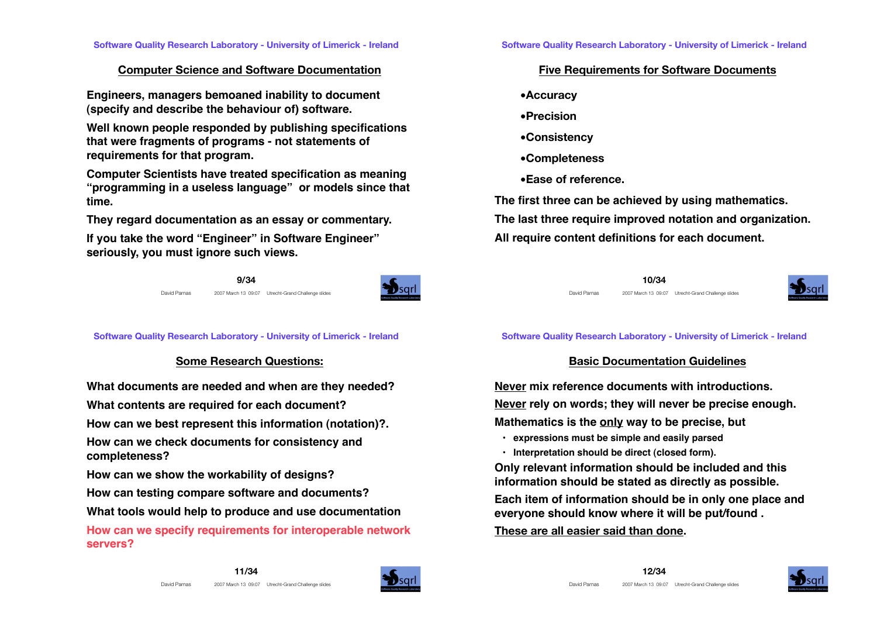## **Computer Science and Software Documentation**

**Engineers, managers bemoaned inability to document (specify and describe the behaviour of) software.** 

**Well known people responded by publishing specifications that were fragments of programs - not statements of requirements for that program.**

**Computer Scientists have treated specification as meaning "programming in a useless language" or models since that time.** 

**They regard documentation as an essay or commentary.**

**If you take the word "Engineer" in Software Engineer" seriously, you must ignore such views.** 

> **9/34** David Parnas 2007 March 13 09:07 Utrecht-Grand Challenge slides



**Software Quality Research Laboratory - University of Limerick - Ireland**

## **Some Research Questions:**

**What documents are needed and when are they needed?**

**What contents are required for each document?**

**How can we best represent this information (notation)?.**

**How can we check documents for consistency and completeness?**

**How can we show the workability of designs?**

**How can testing compare software and documents?**

**What tools would help to produce and use documentation**

**How can we specify requirements for interoperable network servers?**

## **Five Requirements for Software Documents**

- **•Accuracy**
- **•Precision**
- **•Consistency**
- **•Completeness**
- **•Ease of reference.**

**The first three can be achieved by using mathematics. The last three require improved notation and organization. All require content definitions for each document.**



David Parnas 2007 March 13 09:07 Utrecht-Grand Challenge slides



#### **Software Quality Research Laboratory - University of Limerick - Ireland**

## **Basic Documentation Guidelines**

**Never mix reference documents with introductions. Never rely on words; they will never be precise enough. Mathematics is the only way to be precise, but**

- **expressions must be simple and easily parsed**
- **Interpretation should be direct (closed form).**

**Only relevant information should be included and this information should be stated as directly as possible.** 

**Each item of information should be in only one place and everyone should know where it will be put/found .**

## **These are all easier said than done.**



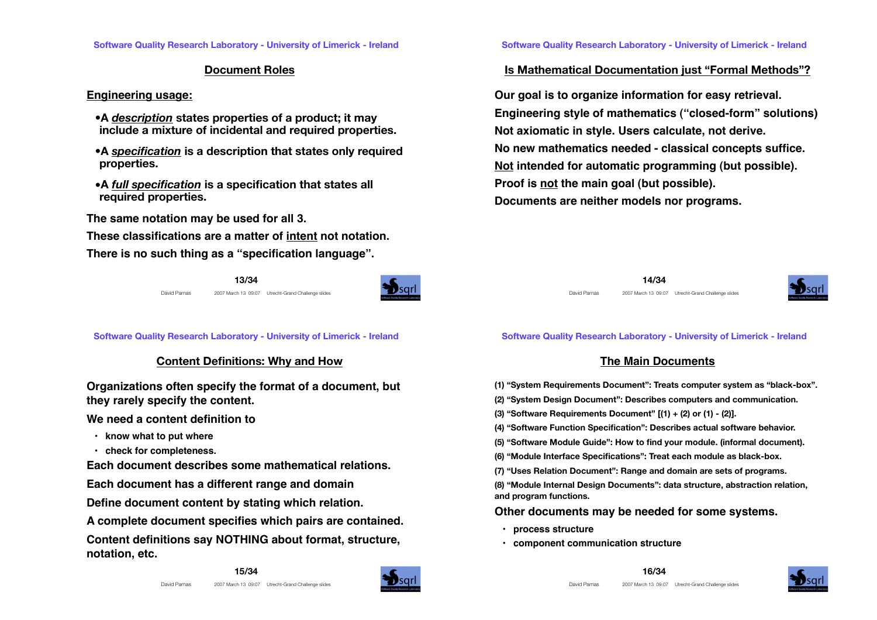### **Document Roles**

#### **Engineering usage:**

- **•A** *description* **states properties of a product; it may include a mixture of incidental and required properties.**
- **•A** *specification* **is a description that states only required properties.**
- **•A** *full specification* **is a specification that states all required properties.**

**The same notation may be used for all 3.**

**These classifications are a matter of intent not notation.** 

**There is no such thing as a "specification language".**

**13/34** David Parnas 2007 March 13 09:07 Utrecht-Grand Challenge slides



**Software Quality Research Laboratory - University of Limerick - Ireland**

### **Content Definitions: Why and How**

**Organizations often specify the format of a document, but they rarely specify the content.**

**We need a content definition to** 

- **know what to put where**
- **check for completeness.**

**Each document describes some mathematical relations.**

**Each document has a different range and domain**

**Define document content by stating which relation.**

**A complete document specifies which pairs are contained.**

**Content definitions say NOTHING about format, structure, notation, etc.**



## **Is Mathematical Documentation just "Formal Methods"?**

**Our goal is to organize information for easy retrieval. Engineering style of mathematics ("closed-form" solutions) Not axiomatic in style. Users calculate, not derive. No new mathematics needed - classical concepts suffice. Not intended for automatic programming (but possible). Proof is not the main goal (but possible). Documents are neither models nor programs.**





#### **Software Quality Research Laboratory - University of Limerick - Ireland**

## **The Main Documents**

- **(1) "System Requirements Document": Treats computer system as "black-box".**
- **(2) "System Design Document": Describes computers and communication.**
- **(3) "Software Requirements Document" [(1) + (2) or (1) (2)].**
- **(4) "Software Function Specification": Describes actual software behavior.**
- **(5) "Software Module Guide": How to find your module. (informal document).**
- **(6) "Module Interface Specifications": Treat each module as black-box.**
- **(7) "Uses Relation Document": Range and domain are sets of programs.**

**(8) "Module Internal Design Documents": data structure, abstraction relation, and program functions.**

### **Other documents may be needed for some systems.**

- **process structure**
- **component communication structure**



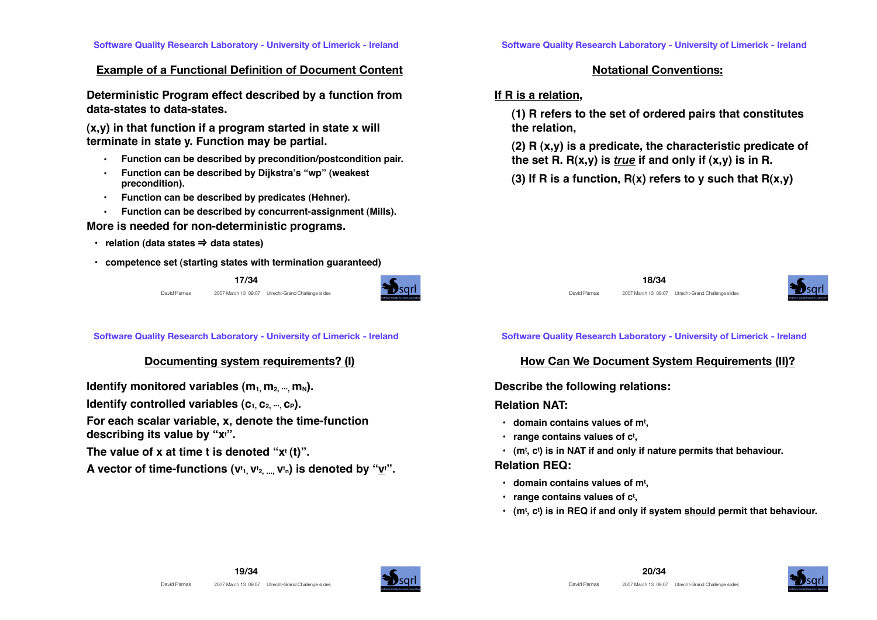#### **Example of a Functional Definition of Document Content**

**Deterministic Program effect described by a function from data-states to data-states.**

**(x,y) in that function if a program started in state x will terminate in state y. Function may be partial.** 

- **• Function can be described by precondition/postcondition pair.**
- **• Function can be described by Dijkstra!s "wp" (weakest precondition).**
- **• Function can be described by predicates (Hehner).**
- **• Function can be described by concurrent-assignment (Mills).**

#### **More is needed for non-deterministic programs.**

- **relation (data states** ⇒ **data states)**
- **competence set (starting states with termination guaranteed)**





**Software Quality Research Laboratory - University of Limerick - Ireland**

### **Documenting system requirements? (I)**

**Identify monitored variables**  $(m_1, m_2, ..., m_N)$ **. Identify controlled variables**  $(c_1, c_2, ..., c_P)$ **. For each scalar variable, x, denote the time-function describing its value by "xt ". The value of x at time t is denoted "xt (t)".** A vector of time-functions (v<sup>t</sup>1, V<sup>t</sup>2, ..., V<sup>t</sup>n) is denoted by "<u>v</u>t".

### **Notational Conventions:**

### **If R is a relation,**

**(1) R refers to the set of ordered pairs that constitutes the relation,**

**(2) R (x,y) is a predicate, the characteristic predicate of**  the set R.  $R(x,y)$  is *true* if and only if  $(x,y)$  is in R.

**(3) If R is a function, R(x) refers to y such that R(x,y)**





#### **Software Quality Research Laboratory - University of Limerick - Ireland**

### **How Can We Document System Requirements (II)?**

#### **Describe the following relations:**

### **Relation NAT:**

- **domain contains values of mt ,**
- **range contains values of ct ,**
- **(mt , ct ) is in NAT if and only if nature permits that behaviour.**

#### **Relation REQ:**

- **domain contains values of mt ,**
- **range contains values of ct ,**
- **(mt , ct ) is in REQ if and only if system should permit that behaviour.**



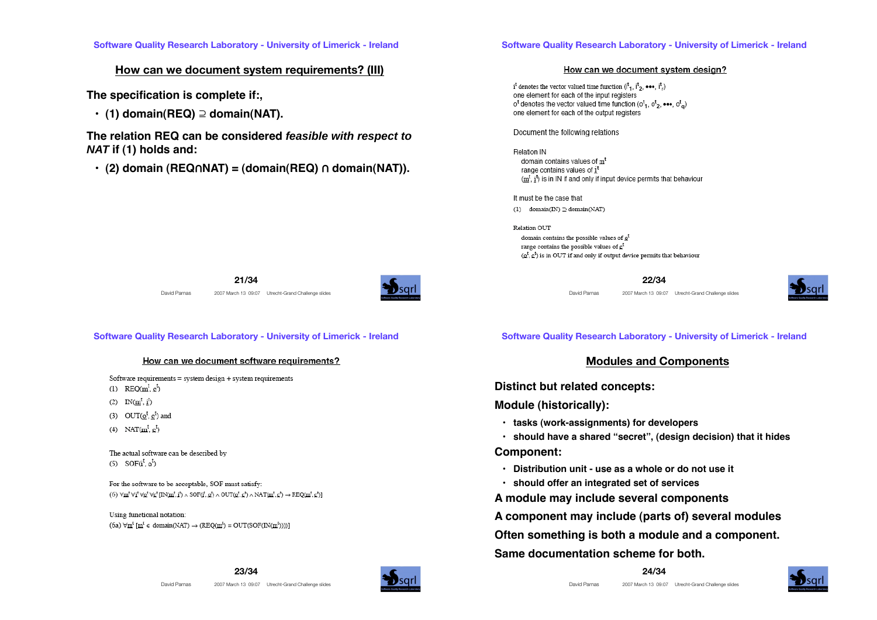#### **How can we document system requirements? (III)**

**The specification is complete if:,**

 $\cdot$  (1) domain(REQ)  $\supseteq$  domain(NAT).

**The relation REQ can be considered feasible with respect to NAT if (1) holds and:**

 **• (2) domain (REQ**㱯**NAT) = (domain(REQ)** 㱯 **domain(NAT)).**

#### **Software Quality Research Laboratory - University of Limerick - Ireland**

#### How can we document system design?

 $i^t$  denotes the vector valued time function  $(i^t_1, i^t_2, \cdots, i^t_r)$ one element for each of the input registers  $o<sup>t</sup>$  denotes the vector valued time function ( $o<sup>t</sup>$ <sub>1</sub>,  $o<sup>t</sup>$ <sub>2</sub>, •••,  $o<sup>t</sup>$ <sub>a</sub>) one element for each of the output registers

Document the following relations

Relation IN domain contains values of m<sup>t</sup> range contains values of it  $(\underline{m}^t, \underline{i}^t)$  is in IN if and only if input device permits that behaviour

It must be the case that (1) domain(IN)  $\supseteq$  domain(NAT)

Relation OUT domain contains the possible values of  $\mathbf{Q}^t$ range contains the possible values of c<sup>t</sup>  $(\underline{\mathbf{o}}^t, \underline{\mathbf{c}}^t)$  is in OUT if and only if output device permits that behaviour

**22/34**

David Parnas 2007 March 13 09:07 Utrecht-Grand Challenge slides



**Software Quality Research Laboratory - University of Limerick - Ireland**

**21/34** David Parnas 2007 March 13 09:07 Utrecht-Grand Challenge slides

#### How can we document software requirements?

Software requirements = system design + system requirements

(1)  $REO(m^t, c^t)$ 

(2)  $IN(m^{\dagger}, i^{\dagger})$ 

- $(3)$  OUT $(o^t, c^t)$  and
- (4) NAT $(m^t, c^t)$

The actual software can be described by  $(5)$  SOF $(i^{\dagger}, o^{\dagger})$ 

For the software to be acceptable, SOF must satisfy: (6)  $\forall m' \forall i' \forall g' \forall g' \Pi N(m', i') \land SOF(i', g') \land OUT(g', g') \land NAT(m', g') \rightarrow RED(m', g')$ 

Using functional notation: (6a)  $\forall m^t$  [m<sup>t</sup>  $\in$  domain(NAT)  $\rightarrow$  (REQ(m<sup>t</sup>) = OUT(SOF(IN(m<sup>t</sup>))))] **Software Quality Research Laboratory - University of Limerick - Ireland**

#### **Modules and Components**

**Distinct but related concepts:**

**Module (historically):**

 **• tasks (work-assignments) for developers**

 **• should have a shared "secret", (design decision) that it hides**

**Component:**

- **Distribution unit use as a whole or do not use it**
- **should offer an integrated set of services**

**A module may include several components**

**A component may include (parts of) several modules**

**Often something is both a module and a component.** 

**Same documentation scheme for both.**



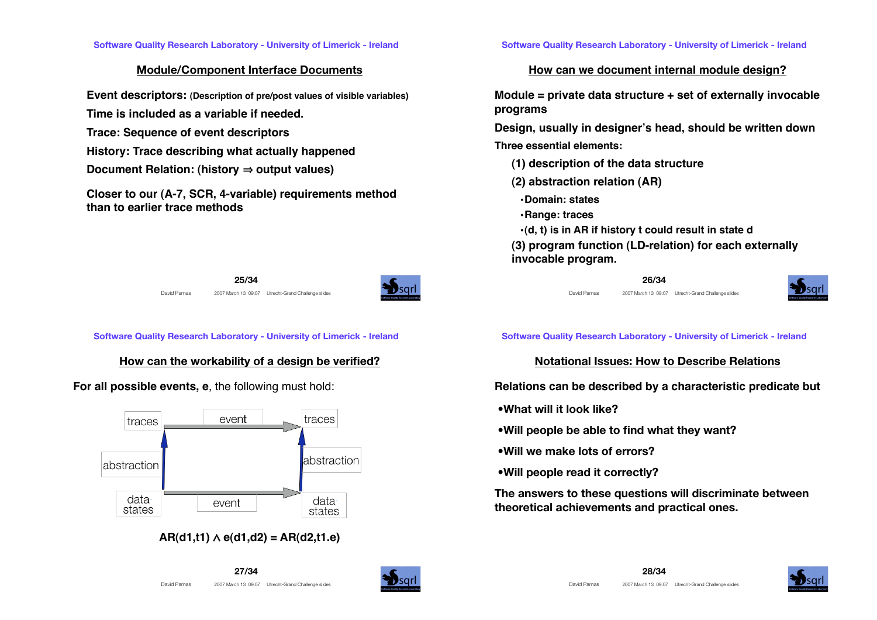## **Module/Component Interface Documents**

**Event descriptors: (Description of pre/post values of visible variables)**

**Time is included as a variable if needed.**

- **Trace: Sequence of event descriptors**
- **History: Trace describing what actually happened**
- **Document Relation: (history ⇒ output values)**

**Closer to our (A-7, SCR, 4-variable) requirements method than to earlier trace methods**

**25/34**



David Parnas 2007 March 13 09:07 Utrecht-Grand Challenge slides

**Software Quality Research Laboratory - University of Limerick - Ireland**

## **How can the workability of a design be verified?**

## **For all possible events, e**, the following must hold:



 $AR(d1,t1) \wedge e(d1,d2) = AR(d2,t1,e)$ 

**Software Quality Research Laboratory - University of Limerick - Ireland**

## **How can we document internal module design?**

**Module = private data structure + set of externally invocable programs**

**Design, usually in designer!s head, should be written down Three essential elements:**

- **(1) description of the data structure**
- **(2) abstraction relation (AR)**
- **•Domain: states**
- **•Range: traces**
- **•(d, t) is in AR if history t could result in state d**

**(3) program function (LD-relation) for each externally invocable program.**

### **26/34**

David Parnas 2007 March 13 09:07 Utrecht-Grand Challenge slides



**Software Quality Research Laboratory - University of Limerick - Ireland**

## **Notational Issues: How to Describe Relations**

**Relations can be described by a characteristic predicate but**

- **•What will it look like?**
- **•Will people be able to find what they want?**
- **•Will we make lots of errors?**
- **•Will people read it correctly?**

**The answers to these questions will discriminate between theoretical achievements and practical ones.** 



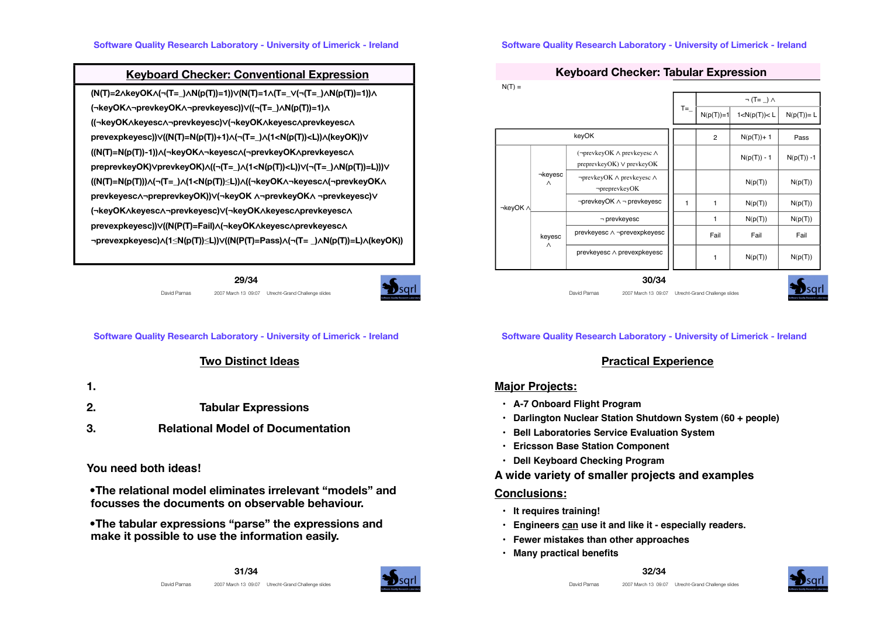### **Keyboard Checker: Conventional Expression**

**(N(T)=2**㱸**keyOK**㱸**(¬(T=\_)**㱸**N(p(T))=1))**㱹**(N(T)=1**㱸**(T=\_**㱹**(¬(T=\_)**㱸**N(p(T))=1))**㱸 **(¬keyOK**㱸**¬prevkeyOK**㱸**¬prevkeyesc))**㱹**((¬(T=\_)**㱸**N(p(T))=1)**㱸 **((¬keyOK**㱸**keyesc**㱸**¬prevkeyesc)**㱹**(¬keyOK**㱸**keyesc**㱸**prevkeyesc**㱸 **prevexpkeyesc))** $\lor$ **((N(T)=N(p(T))+1)** $\land$ **(¬(T=\_)** $\land$ **(1<N(p(T))<L))** $\land$ **(keyOK))** $\lor$ **((N(T)=N(p(T))-1))**㱸**(¬keyOK**㱸**¬keyesc**㱸**(¬prevkeyOK**㱸**prevkeyesc**㱸 **preprevkeyOK)**㱹**prevkeyOK)**㱸**((¬(T=\_)**㱸**(1<N(p(T))<L))**㱹**(¬(T=\_)**㱸**N(p(T))=L)))**㱹 **((N(T)=N(p(T)))**㱸**(¬(T=\_)**㱸**(1<N(p(T))!L))**㱸**((¬keyOK**㱸**¬keyesc**㱸**(¬prevkeyOK**㱸 **prevkeyesc∧¬preprevkeyOK))∨(¬keyOK ∧¬prevkeyOK∧ ¬prevkeyesc)∨ (¬keyOK**㱸**keyesc**㱸**¬prevkeyesc)**㱹**(¬keyOK**㱸**keyesc**㱸**prevkeyesc**㱸 **prevexpkeyesc))**㱹**((N(P(T)=Fail)**㱸**(¬keyOK**㱸**keyesc**㱸**prevkeyesc**㱸 **¬prevexpkeyesc)**㱸**(1!N(p(T))!L))**㱹**((N(P(T)=Pass)**㱸**(¬(T= \_)**㱸**N(p(T))=L)**㱸**(keyOK))**

**29/34**



David Parnas 2007 March 13 09:07 Utrecht-Grand Challenge slides

**Software Quality Research Laboratory - University of Limerick - Ireland**

### **Two Distinct Ideas**

- **1.**
- **2. Tabular Expressions**
- **3. Relational Model of Documentation**

**You need both ideas!**

 **•The relational model eliminates irrelevant "models" and focusses the documents on observable behaviour.**

 **•The tabular expressions "parse" the expressions and make it possible to use the information easily.** 



#### **Software Quality Research Laboratory - University of Limerick - Ireland**

#### **Keyboard Checker: Tabular Expression**

| $N(T) =$ |                     |                                                                    |       |                             |                 |               |
|----------|---------------------|--------------------------------------------------------------------|-------|-----------------------------|-----------------|---------------|
|          |                     |                                                                    |       | $\neg$ (T= $\Box$ ) $\land$ |                 |               |
|          |                     |                                                                    | $T =$ | $N(p(T)) = 1$               | 1 < N(p(T)) < L | $N(p(T))=L$   |
| keyOK    |                     |                                                                    | 2     | $N(p(T)) + 1$               | Pass            |               |
| ¬keyOK ∧ | ⊣keyesc<br>$\wedge$ | (¬prevkeyOK ∧ prevkeyesc ∧<br>$preprevkeyOK$ ) $\vee$ prevkey $OK$ |       |                             | $N(p(T)) - 1$   | $N(p(T)) - 1$ |
|          |                     | $\neg$ prevkeyOK $\land$ prevkeyesc $\land$<br>$\neg preprevkeyOK$ |       |                             | N(p(T))         | N(p(T))       |
|          |                     | $\neg$ prevkeyOK $\wedge \neg$ prevkeyesc                          | 1     | 1                           | N(p(T))         | N(p(T))       |
|          | keyesc<br>$\wedge$  | $\neg$ prevkeyesc                                                  |       | 1                           | N(p(T))         | N(p(T))       |
|          |                     | prevkeyesc ∧ ¬prevexpkeyesc                                        |       | Fail                        | Fail            | Fail          |
|          |                     | prevkeyesc∧ prevexpkeyesc                                          |       | 1                           | N(p(T))         | N(p(T))       |

**30/34**

David Parnas 2007 March 13 09:07 Utrecht-Grand Challenge slides



**Software Quality Research Laboratory - University of Limerick - Ireland**

### **Practical Experience**

#### **Major Projects:**

- **A-7 Onboard Flight Program**
- **Darlington Nuclear Station Shutdown System (60 + people)**
- **Bell Laboratories Service Evaluation System**
- **Ericsson Base Station Component**
- **Dell Keyboard Checking Program**
- **A wide variety of smaller projects and examples**

#### **Conclusions:**

- **It requires training!**
- **Engineers can use it and like it especially readers.**
- **Fewer mistakes than other approaches**
- **Many practical benefits**